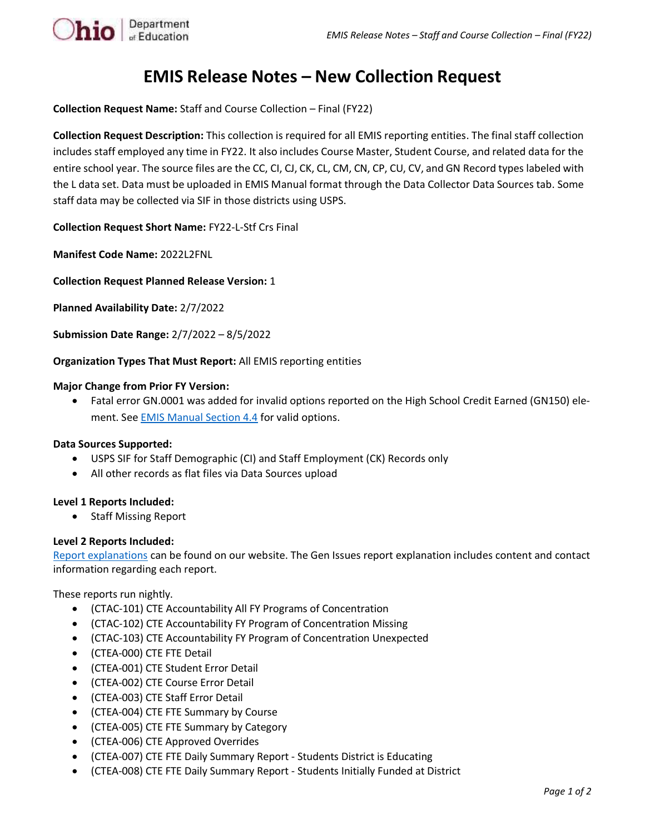

# **EMIS Release Notes – New Collection Request**

**Collection Request Name:** Staff and Course Collection – Final (FY22)

**Collection Request Description:** This collection is required for all EMIS reporting entities. The final staff collection includes staff employed any time in FY22. It also includes Course Master, Student Course, and related data for the entire school year. The source files are the CC, CI, CJ, CK, CL, CM, CN, CP, CU, CV, and GN Record types labeled with the L data set. Data must be uploaded in EMIS Manual format through the Data Collector Data Sources tab. Some staff data may be collected via SIF in those districts using USPS.

**Collection Request Short Name:** FY22-L-Stf Crs Final

**Manifest Code Name:** 2022L2FNL

**Collection Request Planned Release Version:** 1

**Planned Availability Date:** 2/7/2022

**Submission Date Range:** 2/7/2022 – 8/5/2022

**Organization Types That Must Report:** All EMIS reporting entities

### **Major Change from Prior FY Version:**

• Fatal error GN.0001 was added for invalid options reported on the High School Credit Earned (GN150) element. See **EMIS Manual Section 4.4** for valid options.

## **Data Sources Supported:**

- USPS SIF for Staff Demographic (CI) and Staff Employment (CK) Records only
- All other records as flat files via Data Sources upload

## **Level 1 Reports Included:**

• Staff Missing Report

## **Level 2 Reports Included:**

[Report explanations](https://education.ohio.gov/Topics/Data/EMIS/EMIS-Documentation/FY16-EMIS-Validation-and-Report-Explanation-Docume) can be found on our website. The Gen Issues report explanation includes content and contact information regarding each report.

These reports run nightly.

- (CTAC-101) CTE Accountability All FY Programs of Concentration
- (CTAC-102) CTE Accountability FY Program of Concentration Missing
- (CTAC-103) CTE Accountability FY Program of Concentration Unexpected
- (CTEA-000) CTE FTE Detail
- (CTEA-001) CTE Student Error Detail
- (CTEA-002) CTE Course Error Detail
- (CTEA-003) CTE Staff Error Detail
- (CTEA-004) CTE FTE Summary by Course
- (CTEA-005) CTE FTE Summary by Category
- (CTEA-006) CTE Approved Overrides
- (CTEA-007) CTE FTE Daily Summary Report Students District is Educating
- (CTEA-008) CTE FTE Daily Summary Report Students Initially Funded at District